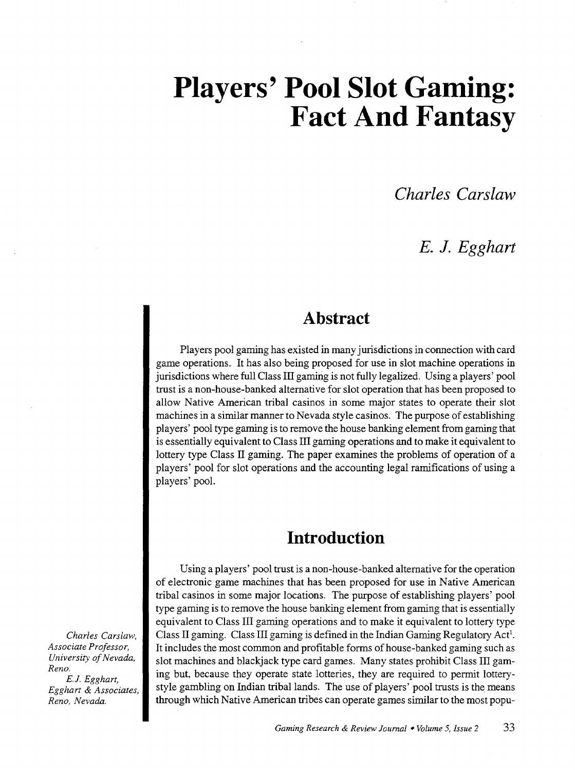# **Players' Pool Slot Gaming: Fact And Fantasy**

*Charles Carslaw* 

# *E.* **J.** *Egghart*

# **Abstract**

Players pool gaming has existed in many jurisdictions in connection with card game operations. It has also being proposed for use in slot machine operations in jurisdictions where full Class III gaming is not fully legalized. Using a players' pool trust is a non-house-banked alternative for slot operation that has been proposed to allow Native American tribal casinos in some major states to operate their slot machines in a similar manner to Nevada style casinos. The purpose of establishing players' pool type gaming is to remove the house banking element from gaming that is essentially equivalent to Class III gaming operations and to make it equivalent to lottery type Class II gaming. The paper examines the problems of operation of a players' pool for slot operations and the accounting legal ramifications of using a players' pool.

# **Introduction**

Using a players' pool trust is a non-house-banked alternative for the operation of electronic game machines that has been proposed for use in Native American tribal casinos in some major locations. The purpose of establishing players' pool type gaming is to remove the house banking element from gaming that is essentially equivalent to Class III gaming operations and to make it equivalent to lottery type Class II gaming. Class III gaming is defined in the Indian Gaming Regulatory Act<sup>1</sup>. It includes the most common and profitable forms of house-banked gaming such as slot machines and blackjack type card games. Many states prohibit Class III gaming but, because they operate state lotteries, they are required to permit lotterystyle gambling on Indian tribal lands. The use of players' pool trusts is the means through which Native American tribes can operate games similar to the most popu-

*Charles Carslaw, Associate Professor, University of Nevada, Reno. E.J. Egghart,* 

*Egghart* & *Associates, Reno, Nevada.*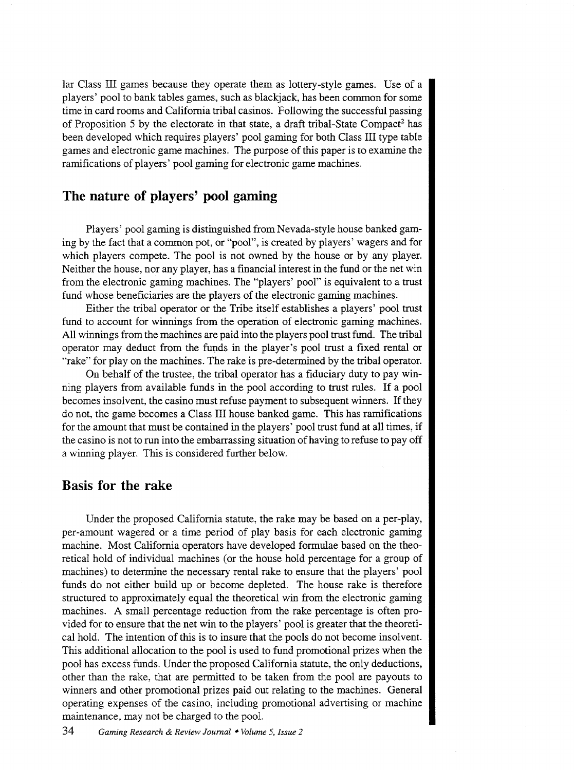lar Class III games because they operate them as lottery-style games. Use of a players' pool to bank tables games, such as blackjack, has been common for some time in card rooms and California tribal casinos. Following the successful passing of Proposition 5 by the electorate in that state, a draft tribal-State Compact<sup>2</sup> has been developed which requires players' pool gaming for both Class III type table games and electronic game machines. The purpose of this paper is to examine the ramifications of players' pool gaming for electronic game machines.

## **The nature of players' pool gaming**

Players' pool gaming is distinguished from Nevada-style house banked gaming by the fact that a common pot, or "pool", is created by players' wagers and for which players compete. The pool is not owned by the house or by any player. Neither the house, nor any player, has a financial interest in the fund or the net win from the electronic gaming machines. The "players' pool" is equivalent to a trust fund whose beneficiaries are the players of the electronic gaming machines.

Either the tribal operator or the Tribe itself establishes a players' pool trust fund to account for winnings from the operation of electronic gaming machines. All winnings from the machines are paid into the players pool trust fund. The tribal operator may deduct from the funds in the player's pool trust a fixed rental or "rake" for play on the machines. The rake is pre-determined by the tribal operator.

On behalf of the trustee, the tribal operator has a fiduciary duty to pay winning players from available funds in the pool according to trust rules. If a pool becomes insolvent, the casino must refuse payment to subsequent winners. If they do not, the game becomes a Class III house banked game. This has ramifications for the amount that must be contained in the players' pool trust fund at all times, if the casino is not to run into the embarrassing situation of having to refuse to pay off a winning player. This is considered further below.

#### **Basis for the rake**

Under the proposed California statute, the rake may be based on a per-play, per-amount wagered or a time period of play basis for each electronic gaming machine. Most California operators have developed formulae based on the theoretical hold of individual machines (or the house hold percentage for a group of machines) to determine the necessary rental rake to ensure that the players' pool funds do not either build up or become depleted. The house rake is therefore structured to approximately equal the theoretical win from the electronic gaming machines. A small percentage reduction from the rake percentage is often provided for to ensure that the net win to the players' pool is greater that the theoretical hold. The intention of this is to insure that the pools do not become insolvent. This additional allocation to the pool is used to fund promotional prizes when the pool has excess funds. Under the proposed California statute, the only deductions, other than the rake, that are permitted to be taken from the pool are payouts to winners and other promotional prizes paid out relating to the machines. General operating expenses of the casino, including promotional advertising or machine maintenance, may not be charged to the pool.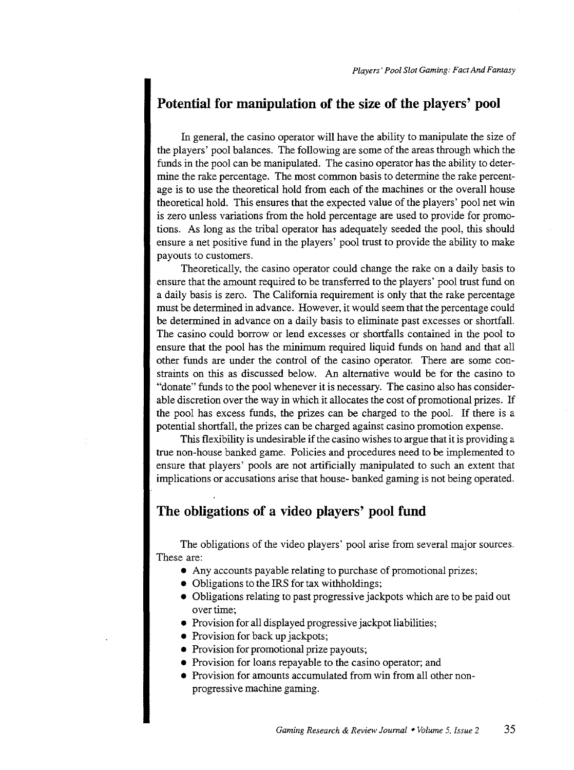## **Potential for manipulation of the size of the players' pool**

In general, the casino operator will have the ability to manipulate the size of the players' pool balances. The following are some of the areas through which the funds in the pool can be manipulated. The casino operator has the ability to determine the rake percentage. The most common basis to determine the rake percentage is to use the theoretical hold from each of the machines or the overall house theoretical hold. This ensures that the expected value of the players' pool net win is zero unless variations from the hold percentage are used to provide for promotions. As long as the tribal operator has adequately seeded the pool, this should ensure a net positive fund in the players' pool trust to provide the ability to make payouts to customers.

Theoretically, the casino operator could change the rake on a daily basis to ensure that the amount required to be transferred to the players' pool trust fund on a daily basis is zero. The California requirement is only that the rake percentage must be determined in advance. However, it would seem that the percentage could be determined in advance on a daily basis to eliminate past excesses or shortfall. The casino could borrow or lend excesses or shortfalls contained in the pool to ensure that the pool has the minimum required liquid funds on hand and that all other funds are under the control of the casino operator. There are some constraints on this as discussed below. An alternative would be for the casino to "donate" funds to the pool whenever it is necessary. The casino also has considerable discretion over the way in which it allocates the cost of promotional prizes. If the pool has excess funds, the prizes can be charged to the pool. If there is a potential shortfall, the prizes can be charged against casino promotion expense.

This flexibility is undesirable if the casino wishes to argue that it is providing a true non-house banked game. Policies and procedures need to be implemented to ensure that players' pools are not artificially manipulated to such an extent that implications or accusations arise that house- banked gaming is not being operated.

## **The obligations of a video players' pool fund**

The obligations of the video players' pool arise from several major sources. These are:

- Any accounts payable relating to purchase of promotional prizes;
- Obligations to the IRS for tax withholdings;
- Obligations relating to past progressive jackpots which are to be paid out over time:
- Provision for all displayed progressive jackpot liabilities;
- Provision for back up jackpots;
- Provision for promotional prize payouts;
- Provision for loans repayable to the casino operator; and
- Provision for amounts accumulated from win from all other nonprogressive machine gaming.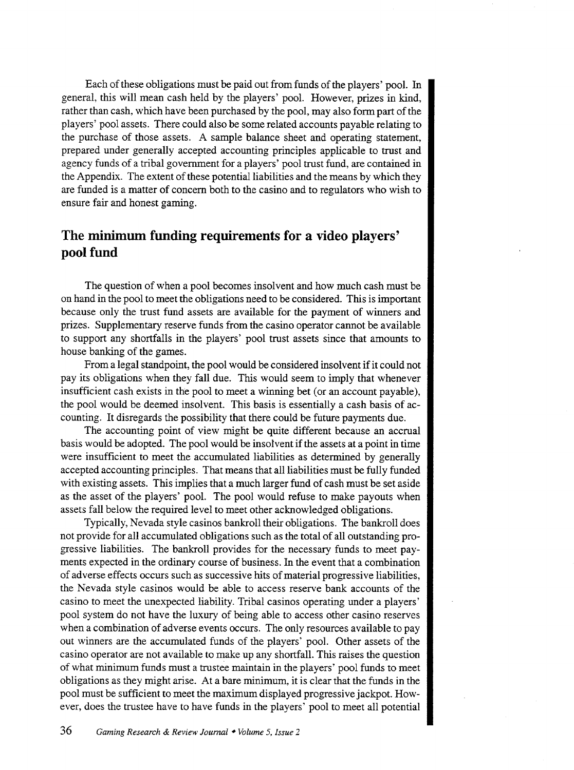Each of these obligations must be paid out from funds of the players' pool. In general, this will mean cash held by the players' pool. However, prizes in kind, rather than cash, which have been purchased by the pool, may also form part of the players' pool assets. There could also be some related accounts payable relating to the purchase of those assets. A sample balance sheet and operating statement, prepared under generally accepted accounting principles applicable to trust and agency funds of a tribal government for a players' pool trust fund, are contained in the Appendix. The extent of these potential liabilities and the means by which they are funded is a matter of concern both to the casino and to regulators who wish to ensure fair and honest gaming.

## **The minimum funding requirements for a video players' pool fund**

The question of when a pool becomes insolvent and how much cash must be on hand in the pool to meet the obligations need to be considered. This is important because only the trust fund assets are available for the payment of winners and prizes. Supplementary reserve funds from the casino operator cannot be available to support any shortfalls in the players' pool trust assets since that amounts to house banking of the games.

From a legal standpoint, the pool would be considered insolvent if it could not pay its obligations when they fall due. This would seem to imply that whenever insufficient cash exists in the pool to meet a winning bet (or an account payable), the pool would be deemed insolvent. This basis is essentially a cash basis of accounting. It disregards the possibility that there could be future payments due.

The accounting point of view might be quite different because an accrual basis would be adopted. The pool would be insolvent if the assets at a point in time were insufficient to meet the accumulated liabilities as determined by generally accepted accounting principles. That means that all liabilities must be fully funded with existing assets. This implies that a much larger fund of cash must be set aside as the asset of the players' pool. The pool would refuse to make payouts when assets fall below the required level to meet other acknowledged obligations.

Typically, Nevada style casinos bankroll their obligations. The bankroll does not provide for all accumulated obligations such as the total of all outstanding progressive liabilities. The bankroll provides for the necessary funds to meet payments expected in the ordinary course of business. In the event that a combination of adverse effects occurs such as successive hits of material progressive liabilities, the Nevada style casinos would be able to access reserve bank accounts of the casino to meet the unexpected liability. Tribal casinos operating under a players' pool system do not have the luxury of being able to access other casino reserves when a combination of adverse events occurs. The only resources available to pay out winners are the accumulated funds of the players' pool. Other assets of the casino operator are not available to make up any shortfall. This raises the question of what minimum funds must a trustee maintain in the players' pool funds to meet obligations as they might arise. At a bare minimum, it is clear that the funds in the pool must be sufficient to meet the maximum displayed progressive jackpot. However, does the trustee have to have funds in the players' pool to meet all potential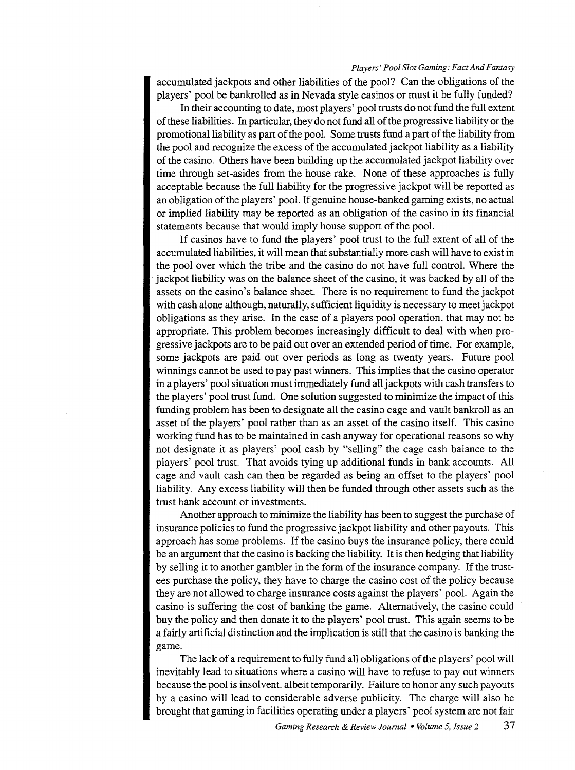#### *Players' Pool Slot Gaming: Fact And Fantasy*

accumulated jackpots and other liabilities of the pool? Can the obligations of the players' pool be bankrolled as in Nevada style casinos or must it be fully funded?

In their accounting to date, most players' pool trusts do not fund the full extent of these liabilities. In particular, they do not fund all of the progressive liability or the promotional liability as part of the pool. Some trusts fund a part of the liability from the pool and recognize the excess of the accumulated jackpot liability as a liability of the casino. Others have been building up the accumulated jackpot liability over time through set-asides from the house rake. None of these approaches is fully acceptable because the full liability for the progressive jackpot will be reported as an obligation of the players' pool. If genuine house-banked gaming exists, no actual or implied liability may be reported as an obligation of the casino in its financial statements because that would imply house support of the pool.

If casinos have to fund the players' pool trust to the full extent of all of the accumulated liabilities, it will mean that substantially more cash will have to exist in the pool over which the tribe and the casino do not have full control. Where the jackpot liability was on the balance sheet of the casino, it was backed by all of the assets on the casino's balance sheet. There is no requirement to fund the jackpot with cash alone although, naturally, sufficient liquidity is necessary to meet jackpot obligations as they arise. In the case of a players pool operation, that may not be appropriate. This problem becomes increasingly difficult to deal with when progressive jackpots are to be paid out over an extended period of time. For example, some jackpots are paid out over periods as long as twenty years. Future pool winnings cannot be used to pay past winners. This implies that the casino operator in a players' pool situation must immediately fund all jackpots with cash transfers to the players' pool trust fund. One solution suggested to minimize the impact of this funding problem has been to designate all the casino cage and vault bankroll as an asset of the players' pool rather than as an asset of the casino itself. This casino working fund has to be maintained in cash anyway for operational reasons so why not designate it as players' pool cash by "selling" the cage cash balance to the players' pool trust. That avoids tying up additional funds in bank accounts. All cage and vault cash can then be regarded as being an offset to the players' pool liability. Any excess liability will then be funded through other assets such as the trust bank account or investments.

Another approach to minimize the liability has been to suggest the purchase of insurance policies to fund the progressive jackpot liability and other payouts. This approach has some problems. If the casino buys the insurance policy, there could be an argument that the casino is backing the liability. It is then hedging that liability by selling it to another gambler in the form of the insurance company. If the trustees purchase the policy, they have to charge the casino cost of the policy because they are not allowed to charge insurance costs against the players' pool. Again the casino is suffering the cost of banking the game. Alternatively, the casino could buy the policy and then donate it to the players' pool trust. This again seems to be a fairly artificial distinction and the implication is still that the casino is banking the game.

The lack of a requirement to fully fund all obligations of the players' pool will inevitably lead to situations where a casino will have to refuse to pay out winners because the pool is insolvent, albeit temporarily. Failure to honor any such payouts by a casino will lead to considerable adverse publicity. The charge will also be brought that gaming in facilities operating under a players' pool system are not fair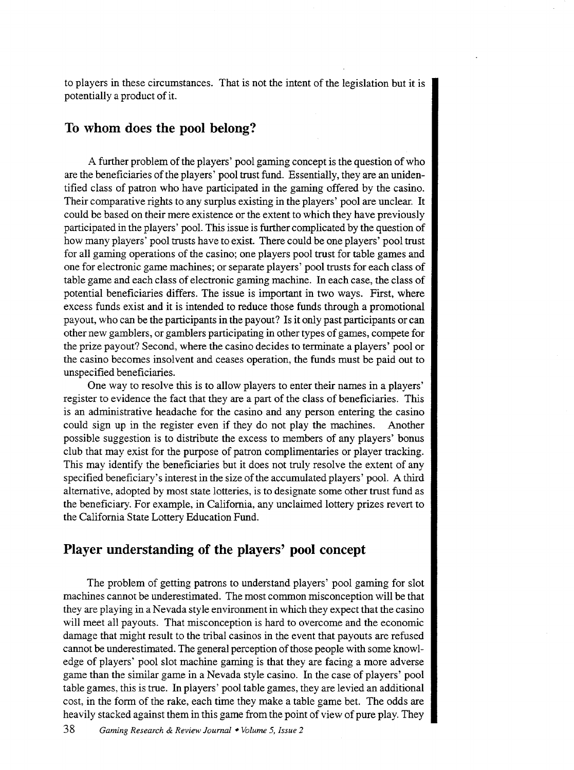to players in these circumstances. That is not the intent of the legislation but it is potentially a product of it.

## **To whom does the pool belong?**

A further problem of the players' pool gaming concept is the question of who are the beneficiaries of the players' pool trust fund. Essentially, they are an unidentified class of patron who have participated in the gaming offered by the casino. Their comparative rights to any surplus existing in the players' pool are unclear. It could be based on their mere existence or the extent to which they have previously participated in the players' pool. This issue is further complicated by the question of how many players' pool trusts have to exist. There could be one players' pool trust for all gaming operations of the casino; one players pool trust for table games and one for electronic game machines; or separate players' pool trusts for each class of table game and each class of electronic gaming machine. In each case, the class of potential beneficiaries differs. The issue is important in two ways. First, where excess funds exist and it is intended to reduce those funds through a promotional payout, who can be the participants in the payout? Is it only past participants or can other new gamblers, or gamblers participating in other types of games, compete for the prize payout? Second, where the casino decides to terminate a players' pool or the casino becomes insolvent and ceases operation, the funds must be paid out to unspecified beneficiaries.

One way to resolve this is to allow players to enter their names in a players' register to evidence the fact that they are a part of the class of beneficiaries. This is an administrative headache for the casino and any person entering the casino could sign up in the register even if they do not play the machines. Another possible suggestion is to distribute the excess to members of any players' bonus club that may exist for the purpose of patron complimentaries or player tracking. This may identify the beneficiaries but it does not truly resolve the extent of any specified beneficiary's interest in the size of the accumulated players' pool. A third alternative, adopted by most state lotteries, is to designate some other trust fund as the beneficiary. For example, in California, any unclaimed lottery prizes revert to the California State Lottery Education Fund.

## **Player understanding of the players' pool concept**

The problem of getting patrons to understand players' pool gaming for slot machines cannot be underestimated. The most common misconception will be that they are playing in a Nevada style environment in which they expect that the casino will meet all payouts. That misconception is hard to overcome and the economic damage that might result to the tribal casinos in the event that payouts are refused cannot be underestimated. The general perception of those people with some knowledge of players' pool slot machine gaming is that they are facing a more adverse game than the similar game in a Nevada style casino. In the case of players' pool table games, this is true. In players' pool table games, they are levied an additional cost, in the form of the rake, each time they make a table game bet. The odds are heavily stacked against them in this game from the point of view of pure play. They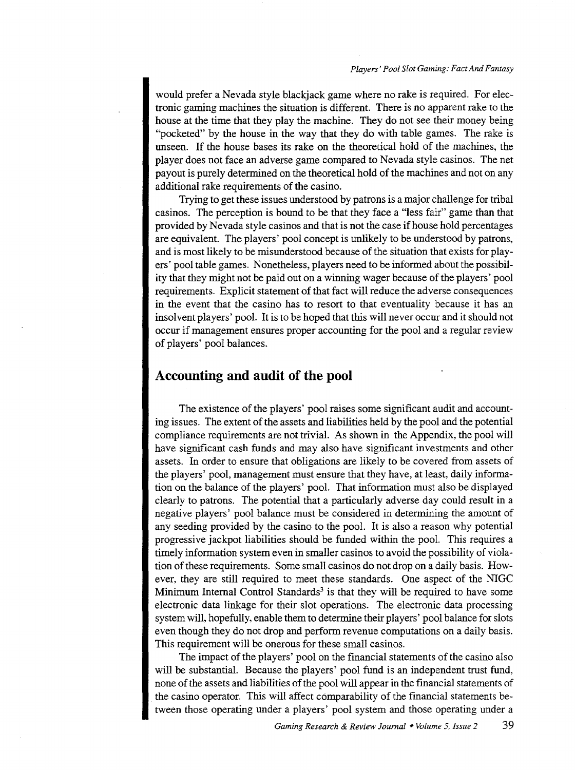would prefer a Nevada style blackjack game where no rake is required. For electronic gaming machines the situation is different. There is no apparent rake to the house at the time that they play the machine. They do not see their money being "pocketed" by the house in the way that they do with table games. The rake is unseen. If the house bases its rake on the theoretical hold of the machines, the player does not face an adverse game compared to Nevada style casinos. The net payout is purely determined on the theoretical hold of the machines and not on any additional rake requirements of the casino.

Trying to get these issues understood by patrons is a major challenge for tribal casinos. The perception is bound to be that they face a "less fair" game than that provided by Nevada style casinos and that is not the case if house hold percentages are equivalent. The players' pool concept is unlikely to be understood by patrons, and is most likely to be misunderstood because of the situation that exists for players' pool table games. Nonetheless, players need to be informed about the possibility that they might not be paid out on a winning wager because of the players' pool requirements. Explicit statement of that fact will reduce the adverse consequences in the event that the casino has to resort to that eventuality because it has an insolvent players' pool. It is to be hoped that this will never occur and it should not occur if management ensures proper accounting for the pool and a regular review of players' pool balances.

### **Accounting and audit of the pool**

The existence of the players' pool raises some significant audit and accounting issues. The extent of the assets and liabilities held by the pool and the potential compliance requirements are not trivial. As shown in the Appendix, the pool will have significant cash funds and may also have significant investments and other assets. In order to ensure that obligations are likely to be covered from assets of the players' pool, management must ensure that they have, at least, daily information on the balance of the players' pool. That information must also be displayed clearly to patrons. The potential that a particularly adverse day could result in a negative players' pool balance must be considered in determining the amount of any seeding provided by the casino to the pool. It is also a reason why potential progressive jackpot liabilities should be funded within the pool. This requires a timely information system even in smaller casinos to avoid the possibility of violation of these requirements. Some small casinos do not drop on a daily basis. However, they are still required to meet these standards. One aspect of the NIGC Minimum Internal Control Standards<sup>3</sup> is that they will be required to have some electronic data linkage for their slot operations. The electronic data processing system will, hopefully, enable them to determine their players' pool balance for slots even though they do not drop and perform revenue computations on a daily basis. This requirement will be onerous for these small casinos.

The impact of the players' pool on the financial statements of the casino also will be substantial. Because the players' pool fund is an independent trust fund, none of the assets and liabilities of the pool will appear in the financial statements of the casino operator. This will affect comparability of the financial statements between those operating under a players' pool system and those operating under a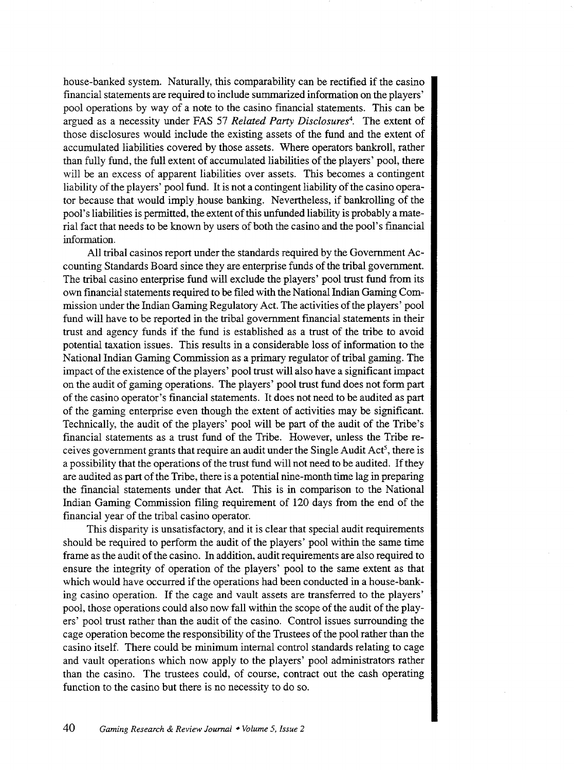house-banked system. Naturally, this comparability can be rectified if the casino financial statements are required to include summarized information on the players' pool operations by way of a note to the casino fmancial statements. This can be argued as a necessity under FAS 57 *Related Party Disclosures4 •* The extent of those disclosures would include the existing assets of the fund and the extent of accumulated liabilities covered by those assets. Where operators bankroll, rather than fully fund, the full extent of accumulated liabilities of the players' pool, there will be an excess of apparent liabilities over assets. This becomes a contingent liability of the players' pool fund. It is not a contingent liability of the casino operator because that would imply house banking. Nevertheless, if bankrolling of the pool's liabilities is permitted, the extent of this unfunded liability is probably a material fact that needs to be known by users of both the casino and the pool's financial information.

All tribal casinos report under the standards required by the Government Accounting Standards Board since they are enterprise funds of the tribal government. The tribal casino enterprise fund will exclude the players' pool trust fund from its own fmancial statements required to be filed with the National Indian Gaming Commission under the Indian Gaming Regulatory Act. The activities of the players' pool fund will have to be reported in the tribal government fmancial statements in their trust and agency funds if the fund is established as a trust of the tribe to avoid potential taxation issues. This results in a considerable loss of information to the National Indian Gaming Commission as a primary regulator of tribal gaming. The impact of the existence of the players' pool trust will also have a significant impact on the audit of gaming operations. The players' pool trust fund does not form part of the casino operator's financial statements. It does not need to be audited as part of the gaming enterprise even though the extent of activities may be significant. Technically, the audit of the players' pool will be part of the audit of the Tribe's financial statements as a trust fund of the Tribe. However, unless the Tribe receives government grants that require an audit under the Single Audit  $Act^5$ , there is a possibility that the operations of the trust fund will not need to be audited. If they are audited as part of the Tribe, there is a potential nine-month time lag in preparing the financial statements under that Act. This is in comparison to the National Indian Gaming Commission filing requirement of 120 days from the end of the financial year of the tribal casino operator.

This disparity is unsatisfactory, and it is clear that special audit requirements should be required to perform the audit of the players' pool within the same time frame as the audit of the casino. In addition, audit requirements are also required to ensure the integrity of operation of the players' pool to the same extent as that which would have occurred if the operations had been conducted in a house-banking casino operation. If the cage and vault assets are transferred to the players' pool, those operations could also now fall within the scope of the audit of the players' pool trust rather than the audit of the casino. Control issues surrounding the cage operation become the responsibility of the Trustees of the pool rather than the casino itself. There could be minimum internal control standards relating to cage and vault operations which now apply to the players' pool administrators rather than the casino. The trustees could, of course, contract out the cash operating function to the casino but there is no necessity to do so.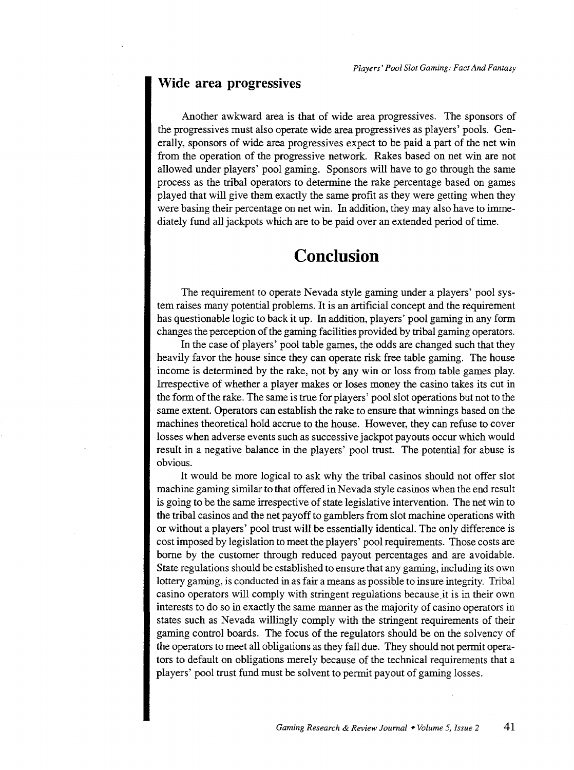#### **Wide area progressives**

Another awkward area is that of wide area progressives. The sponsors of the progressives must also operate wide area progressives as players' pools. Generally, sponsors of wide area progressives expect to be paid a part of the net win from the operation of the progressive network. Rakes based on net win are not allowed under players' pool gaming. Sponsors will have to go through the same process as the tribal operators to determine the rake percentage based on games played that will give them exactly the same profit as they were getting when they were basing their percentage on net win. In addition, they may also have to immediately fund all jackpots which are to be paid over an extended period of time.

# **Conclusion**

The requirement to operate Nevada style gaming under a players' pool system raises many potential problems. It is an artificial concept and the requirement has questionable logic to back it up. In addition, players' pool gaming in any form changes the perception of the gaming facilities provided by tribal gaming operators.

In the case of players' pool table games, the odds are changed such that they heavily favor the house since they can operate risk free table gaming. The house income is determined by the rake, not by any win or loss from table games play. Irrespective of whether a player makes or loses money the casino takes its cut in the form of the rake. The same is true for players' pool slot operations but not to the same extent. Operators can establish the rake to ensure that winnings based on the machines theoretical hold accrue to the house. However, they can refuse to cover losses when adverse events such as successive jackpot payouts occur which would result in a negative balance in the players' pool trust. The potential for abuse is obvious.

It would be more logical to ask why the tribal casinos should not offer slot machine gaming similar to that offered in Nevada style casinos when the end result is going to be the same irrespective of state legislative intervention. The net win to the tribal casinos and the net payoff to gamblers from slot machine operations with or without a players' pool trust will be essentially identical. The only difference is cost imposed by legislation to meet the players' pool requirements. Those costs are borne by the customer through reduced payout percentages and are avoidable. State regulations should be established to ensure that any gaming, including its own lottery gaming, is conducted in as fair a means as possible to insure integrity. Tribal casino operators will comply with stringent regulations because .it is in their own interests to do so in exactly the same manner as the majority of casino operators in states such as Nevada willingly comply with the stringent requirements of their gaming control boards. The focus of the regulators should be on the solvency of the operators to meet all obligations as they fall due. They should not permit operators to default on obligations merely because of the technical requirements that a players' pool trust fund must be solvent to permit payout of gaming losses.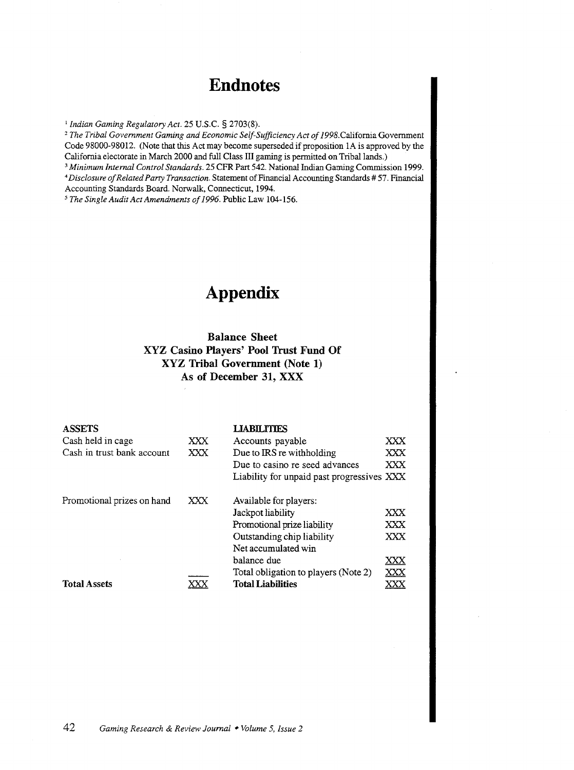# **Endnotes**

<sup>1</sup>*Indian Gaming Regulatory Act.* 25 U.S.C. § 2703(8). 2 *The Tribal Government Gaming and Economic Self-Sufficiency Act of* J998.Califomia Government Code 98000-98012. (Note that this Act may become superseded if proposition 1A is approved by the California electorate in March 2000 and full Class III gaming is permitted on Tribal lands.)

<sup>3</sup> Minimum Internal Control Standards. 25 CFR Part 542. National Indian Gaming Commission 1999. • *Disclosure of Related Party Transaction.* Statement of Financial Accounting Standards# 57. Financial Accounting Standards Board. Norwalk, Connecticut, 1994.

*5 The Single Audit Act Amendments of 1996.* Public Law 104-156.

# **Appendix**

### **Balance Sheet XYZ Casino Players' Pool Trust Fund Of XYZ Tribal Government (Note 1) As of December 31, XXX**

| <b>ASSETS</b>              |     | <b>LIABILITIES</b>                         |     |
|----------------------------|-----|--------------------------------------------|-----|
| Cash held in cage          | XXX | Accounts payable                           | XXX |
| Cash in trust bank account | XXX | Due to IRS re withholding                  | XXX |
|                            |     | Due to casino re seed advances             | XXX |
|                            |     | Liability for unpaid past progressives XXX |     |
| Promotional prizes on hand | XXX | Available for players:                     |     |
|                            |     | Jackpot liability                          | XXX |
|                            |     | Promotional prize liability                | XXX |
|                            |     | Outstanding chip liability                 | XXX |
|                            |     | Net accumulated win                        |     |
|                            |     | balance due                                | XXX |
|                            |     | Total obligation to players (Note 2)       | XXX |
| <b>Total Assets</b>        |     | <b>Total Liabilities</b>                   |     |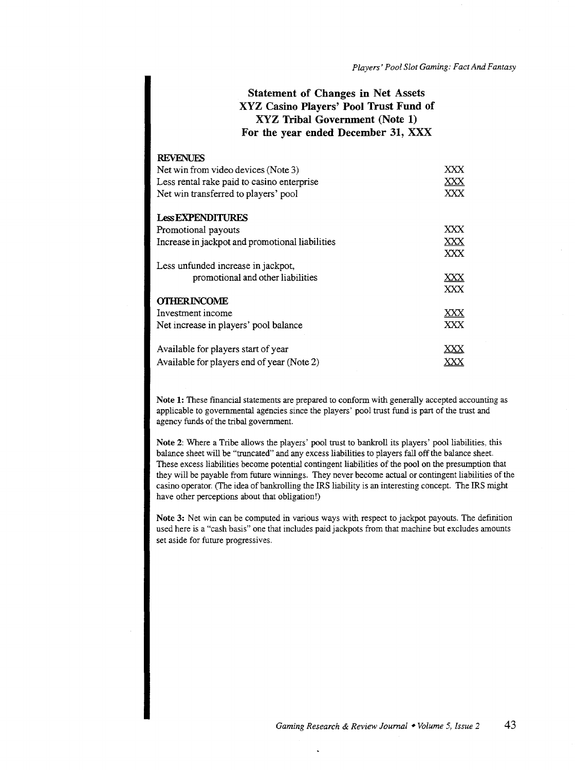### Statement of Changes in Net Assets XYZ Casino Players' Pool Trust Fund of XYZ Tribal Government (Note 1) For the year ended December 31, XXX

| <b>REVENUES</b>                                 |            |
|-------------------------------------------------|------------|
| Net win from video devices (Note 3)             | XXX        |
| Less rental rake paid to casino enterprise      | XXX<br>XXX |
| Net win transferred to players' pool            |            |
| <b>Less EXPENDITURES</b>                        |            |
| Promotional payouts                             | XXX.       |
| Increase in jackpot and promotional liabilities | XXX        |
|                                                 | XXX        |
| Less unfunded increase in jackpot,              |            |
| promotional and other liabilities               | XXX        |
|                                                 | XXX        |
| <b>OTHERINCOME</b>                              |            |
| Investment income                               | XXX        |
| Net increase in players' pool balance           | <b>XXX</b> |
| Available for players start of year             |            |
| Available for players end of year (Note 2)      |            |

Note 1: These financial statements are prepared to conform with generally accepted accounting as applicable to governmental agencies since the players' pool trust fund is part of the trust and agency funds of the tribal government.

Note 2: Where a Tribe allows the players' pool trust to bankroll its players' pool liabilities, this balance sheet will be "truncated" and any excess liabilities to players fall off the balance sheet. These excess liabilities become potential contingent liabilities of the pool on the presumption that they will be payable from future winnings. They never become actual or contingent liabilities of the casino operator. (The idea of bankrolling the IRS liability is an interesting concept. The IRS might have other perceptions about that obligation!)

Note 3: Net win can be computed in various ways with respect to jackpot payouts. The definition used here is a "cash basis" one that includes paid jackpots from that machine but excludes amounts set aside for future progressives.